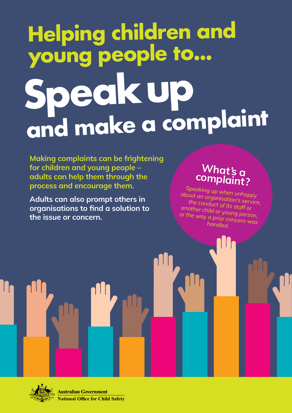# **Helping children and young people to... Speak up and make a complaint**

Making complaints can be frightening for children and young people – adults can help them through the process and encourage them.

Adults can also prompt others in organisations to find a solution to the issue or concern.

## What's a complaint?

*Speaking up when unhappy about an organisation's service, the conduct of its staff or another child or young person, or the way a prior concern was handled.*



**Australian Government National Office for Child Safety**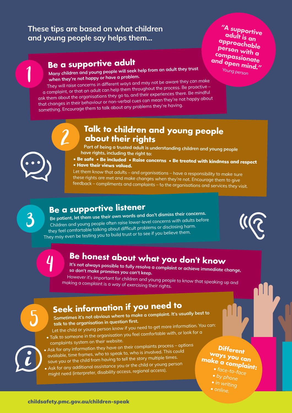### These tips are based on what children and young people say helps them...

# **Be a supportive adult**

**"A supportive adult is an approachable person with a compassionate and open mind."**

*Young person*

Many children and young people will seek help from an adult they trust when they're not happy or have a problem.

They will raise concerns in different ways and may not be aware they can make a complaint, or that an adult can help them throughout the process. Be proactive – ask them about the organisations they go to, and their experiences there. Be mindful that changes in their behaviour or non-verbal cues can mean they're not happy about something. Encourage them to talk about any problems they're having.

### **Talk to children and young people about their rights**

Part of being a trusted adult is understanding children and young people have rights, including the right to:

• Be safe • Be included • Raise concerns • Be treated with kindness and respect • Have their views valued.

Let them know that adults – and organisations – have a responsibility to make sure these rights are met and make changes when they're not. Encourage them to give feedback – compliments and complaints – to the organisations and services they visit.

# 3

5

1

# **Be a supportive listener**

Be patient, let them use their own words and don't dismiss their concerns. Children and young people often raise lower-level concerns with adults before they feel comfortable talking about difficult problems or disclosing harm. They may even be testing you to build trust or to see if you believe them.



4

2

# **Be honest about what you don't know**

It's not always possible to fully resolve a complaint or achieve immediate change, so don't make promises you can't keep.

However it's important for children and young people to know that speaking up and making a complaint is a way of exercising their rights.

# **Seek information if you need to**

Sometimes it's not obvious where to make a complaint. It's usually best to talk to the organisation in question first.

Let the child or young person know if you need to get more information. You can: • Talk to someone in the organisation you feel comfortable with, or look for a

- complaints system on their website.
- Ask for any information they have on their complaints process options available, time frames, who to speak to, who is involved. This could save you or the child from having to tell the story multiple times.
- extractory of the child or young person<br>• Ask for any additional assistance you or the child assess) might need (interpreter, disability access, regional access).

### **Different ways you can make a complaint:**

- *face-to-face*
- *• by phone*
- *• in writing*
- *• online.*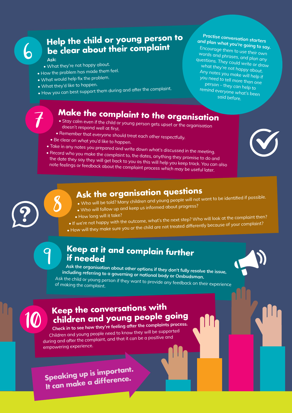## **Help the child or young person to be clear about their complaint**

### Ask:

7

6

- What they're not happy about.
- How the problem has made them feel.
- What would help fix the problem.
- What they'd like to happen.

8

9

• How you can best support them during and after the complaint.

# **Make the complaint to the organisation**

- Stay calm even if the child or young person gets upset or the organisation doesn't respond well at first.
- Remember that everyone should treat each other respectfully.
- Be clear on what you'd like to happen.
- Take in any notes you prepared and write down what's discussed in the meeting.
- Record who you make the complaint to, the dates, anything they promise to do and the date they say they will get back to you as this will help you keep track. You can also note feelings or feedback about the complaint process which may be useful later.



Practise conversation starters and plan what you're going to say. Encourage them to use their own words and phrases, and plan any questions. They could write or draw what they're not happy about. Any notes you make will help if you need to tell more than one person – they can help to remind everyone what's been said before.

# **Ask the organisation questions**

- Who will be told? Many children and young people will not want to be identified if possible.
- Who will follow up and keep us informed about progress?
- How long will it take?
- If we're not happy with the outcome, what's the next step? Who will look at the complaint then?
- How will they make sure you or the child are not treated differently because of your complaint?

### **Keep at it and complain further if needed**

Ask the organisation about other options if they don't fully resolve the issue, including referring to a governing or national body or Ombudsman. Ask the child or young person if they want to provide any feedback on their experience of making the complaint.



10

## **Keep the conversations with children and young people going**

Check in to see how they're feeling after the complaints process. Children and young people need to know they will be supported during and after the complaint, and that it can be a positive and empowering experience.

**Speaking up is important. It can make a difference.**